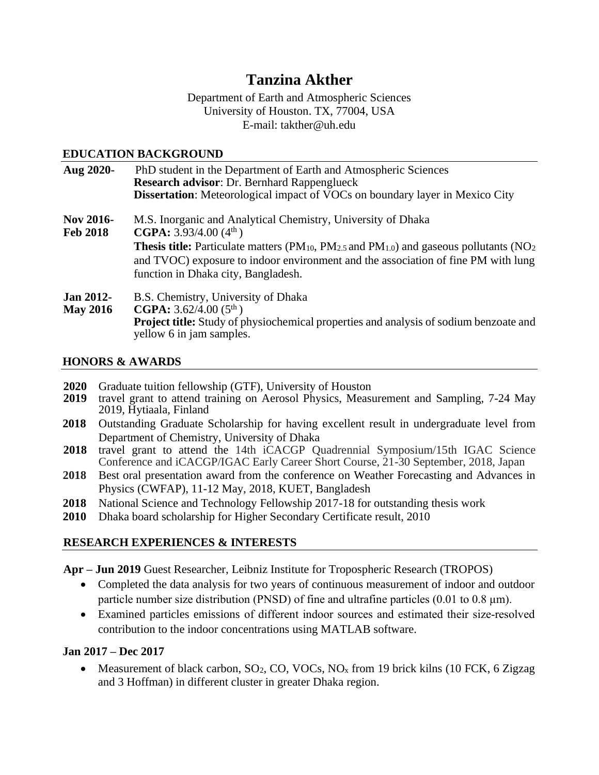# **Tanzina Akther**

Department of Earth and Atmospheric Sciences University of Houston. TX, 77004, USA E-mail: takther@uh.edu

#### **EDUCATION BACKGROUND**

| Aug 2020-                           | PhD student in the Department of Earth and Atmospheric Sciences<br><b>Research advisor: Dr. Bernhard Rappenglueck</b>                                                                                                                         |
|-------------------------------------|-----------------------------------------------------------------------------------------------------------------------------------------------------------------------------------------------------------------------------------------------|
|                                     | <b>Dissertation:</b> Meteorological impact of VOCs on boundary layer in Mexico City                                                                                                                                                           |
| <b>Nov 2016-</b><br><b>Feb 2018</b> | M.S. Inorganic and Analytical Chemistry, University of Dhaka<br><b>CGPA:</b> $3.93/4.00(4th)$                                                                                                                                                 |
|                                     | <b>Thesis title:</b> Particulate matters ( $PM_{10}$ , $PM_{2.5}$ and $PM_{1.0}$ ) and gaseous pollutants ( $NO2$<br>and TVOC) exposure to indoor environment and the association of fine PM with lung<br>function in Dhaka city, Bangladesh. |
| <b>Jan 2012-</b>                    | B.S. Chemistry, University of Dhaka                                                                                                                                                                                                           |
| <b>May 2016</b>                     | <b>CGPA:</b> $3.62/4.00(5th)$                                                                                                                                                                                                                 |
|                                     | <b>Project title:</b> Study of physiochemical properties and analysis of sodium benzoate and<br>yellow 6 in jam samples.                                                                                                                      |

#### **HONORS & AWARDS**

- **2020** Graduate tuition fellowship (GTF), University of Houston
- **2019** travel grant to attend training on Aerosol Physics, Measurement and Sampling, 7-24 May 2019, Hytiaala, Finland
- **2018** Outstanding Graduate Scholarship for having excellent result in undergraduate level from Department of Chemistry, University of Dhaka
- **2018** travel grant to attend the 14th iCACGP Quadrennial Symposium/15th IGAC Science Conference and iCACGP/IGAC Early Career Short Course, 21-30 September, 2018, Japan
- **2018** Best oral presentation award from the conference on Weather Forecasting and Advances in Physics (CWFAP), 11-12 May, 2018, KUET, Bangladesh
- **2018** National Science and Technology Fellowship 2017-18 for outstanding thesis work
- **2010** Dhaka board scholarship for Higher Secondary Certificate result, 2010

# **RESEARCH EXPERIENCES & INTERESTS**

**Apr – Jun 2019** Guest Researcher, Leibniz Institute for Tropospheric Research (TROPOS)

- Completed the data analysis for two years of continuous measurement of indoor and outdoor particle number size distribution (PNSD) of fine and ultrafine particles  $(0.01 \text{ to } 0.8 \mu\text{m})$ .
- Examined particles emissions of different indoor sources and estimated their size‐resolved contribution to the indoor concentrations using MATLAB software.

# **Jan 2017 – Dec 2017**

• Measurement of black carbon,  $SO_2$ , CO, VOCs, NO<sub>x</sub> from 19 brick kilns (10 FCK, 6 Zigzag and 3 Hoffman) in different cluster in greater Dhaka region.